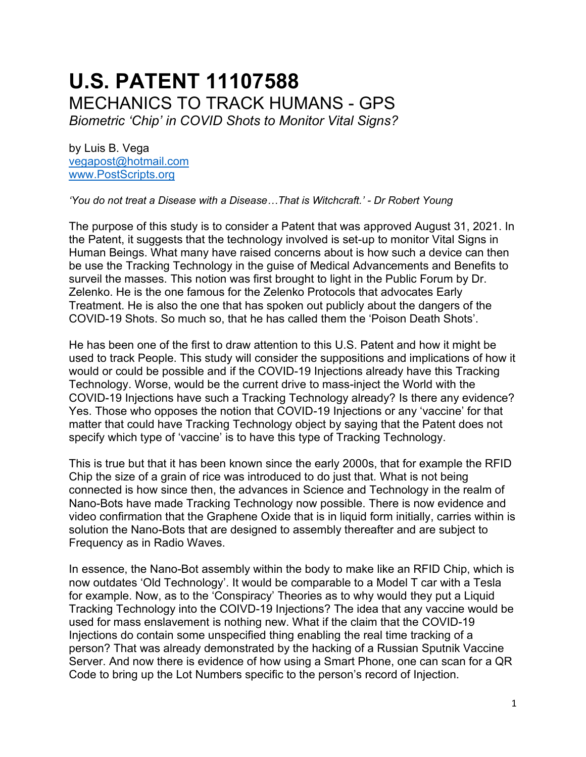# **U.S. PATENT 11107588** MECHANICS TO TRACK HUMANS - GPS *Biometric 'Chip' in COVID Shots to Monitor Vital Signs?*

by Luis B. Vega [vegapost@hotmail.com](mailto:vegapost@hotmail.com) [www.PostScripts.org](http://www.postscripts.org/)

*'You do not treat a Disease with a Disease…That is Witchcraft.' - Dr Robert Young*

The purpose of this study is to consider a Patent that was approved August 31, 2021. In the Patent, it suggests that the technology involved is set-up to monitor Vital Signs in Human Beings. What many have raised concerns about is how such a device can then be use the Tracking Technology in the guise of Medical Advancements and Benefits to surveil the masses. This notion was first brought to light in the Public Forum by Dr. Zelenko. He is the one famous for the Zelenko Protocols that advocates Early Treatment. He is also the one that has spoken out publicly about the dangers of the COVID-19 Shots. So much so, that he has called them the 'Poison Death Shots'.

He has been one of the first to draw attention to this U.S. Patent and how it might be used to track People. This study will consider the suppositions and implications of how it would or could be possible and if the COVID-19 Injections already have this Tracking Technology. Worse, would be the current drive to mass-inject the World with the COVID-19 Injections have such a Tracking Technology already? Is there any evidence? Yes. Those who opposes the notion that COVID-19 Injections or any 'vaccine' for that matter that could have Tracking Technology object by saying that the Patent does not specify which type of 'vaccine' is to have this type of Tracking Technology.

This is true but that it has been known since the early 2000s, that for example the RFID Chip the size of a grain of rice was introduced to do just that. What is not being connected is how since then, the advances in Science and Technology in the realm of Nano-Bots have made Tracking Technology now possible. There is now evidence and video confirmation that the Graphene Oxide that is in liquid form initially, carries within is solution the Nano-Bots that are designed to assembly thereafter and are subject to Frequency as in Radio Waves.

In essence, the Nano-Bot assembly within the body to make like an RFID Chip, which is now outdates 'Old Technology'. It would be comparable to a Model T car with a Tesla for example. Now, as to the 'Conspiracy' Theories as to why would they put a Liquid Tracking Technology into the COIVD-19 Injections? The idea that any vaccine would be used for mass enslavement is nothing new. What if the claim that the COVID-19 Injections do contain some unspecified thing enabling the real time tracking of a person? That was already demonstrated by the hacking of a Russian Sputnik Vaccine Server. And now there is evidence of how using a Smart Phone, one can scan for a QR Code to bring up the Lot Numbers specific to the person's record of Injection.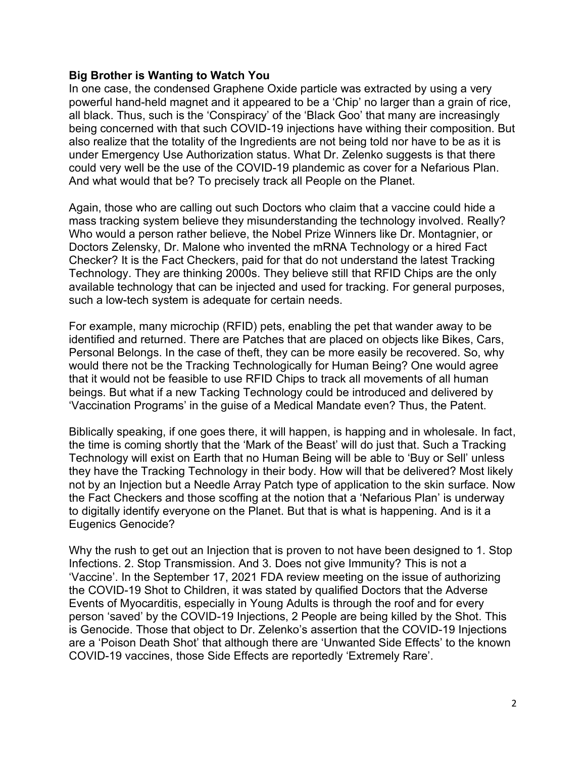### **Big Brother is Wanting to Watch You**

In one case, the condensed Graphene Oxide particle was extracted by using a very powerful hand-held magnet and it appeared to be a 'Chip' no larger than a grain of rice, all black. Thus, such is the 'Conspiracy' of the 'Black Goo' that many are increasingly being concerned with that such COVID-19 injections have withing their composition. But also realize that the totality of the Ingredients are not being told nor have to be as it is under Emergency Use Authorization status. What Dr. Zelenko suggests is that there could very well be the use of the COVID-19 plandemic as cover for a Nefarious Plan. And what would that be? To precisely track all People on the Planet.

Again, those who are calling out such Doctors who claim that a vaccine could hide a mass tracking system believe they misunderstanding the technology involved. Really? Who would a person rather believe, the Nobel Prize Winners like Dr. Montagnier, or Doctors Zelensky, Dr. Malone who invented the mRNA Technology or a hired Fact Checker? It is the Fact Checkers, paid for that do not understand the latest Tracking Technology. They are thinking 2000s. They believe still that RFID Chips are the only available technology that can be injected and used for tracking. For general purposes, such a low-tech system is adequate for certain needs.

For example, many microchip (RFID) pets, enabling the pet that wander away to be identified and returned. There are Patches that are placed on objects like Bikes, Cars, Personal Belongs. In the case of theft, they can be more easily be recovered. So, why would there not be the Tracking Technologically for Human Being? One would agree that it would not be feasible to use RFID Chips to track all movements of all human beings. But what if a new Tacking Technology could be introduced and delivered by 'Vaccination Programs' in the guise of a Medical Mandate even? Thus, the Patent.

Biblically speaking, if one goes there, it will happen, is happing and in wholesale. In fact, the time is coming shortly that the 'Mark of the Beast' will do just that. Such a Tracking Technology will exist on Earth that no Human Being will be able to 'Buy or Sell' unless they have the Tracking Technology in their body. How will that be delivered? Most likely not by an Injection but a Needle Array Patch type of application to the skin surface. Now the Fact Checkers and those scoffing at the notion that a 'Nefarious Plan' is underway to digitally identify everyone on the Planet. But that is what is happening. And is it a Eugenics Genocide?

Why the rush to get out an Injection that is proven to not have been designed to 1. Stop Infections. 2. Stop Transmission. And 3. Does not give Immunity? This is not a 'Vaccine'. In the September 17, 2021 FDA review meeting on the issue of authorizing the COVID-19 Shot to Children, it was stated by qualified Doctors that the Adverse Events of Myocarditis, especially in Young Adults is through the roof and for every person 'saved' by the COVID-19 Injections, 2 People are being killed by the Shot. This is Genocide. Those that object to Dr. Zelenko's assertion that the COVID-19 Injections are a 'Poison Death Shot' that although there are 'Unwanted Side Effects' to the known COVID-19 vaccines, those Side Effects are reportedly 'Extremely Rare'.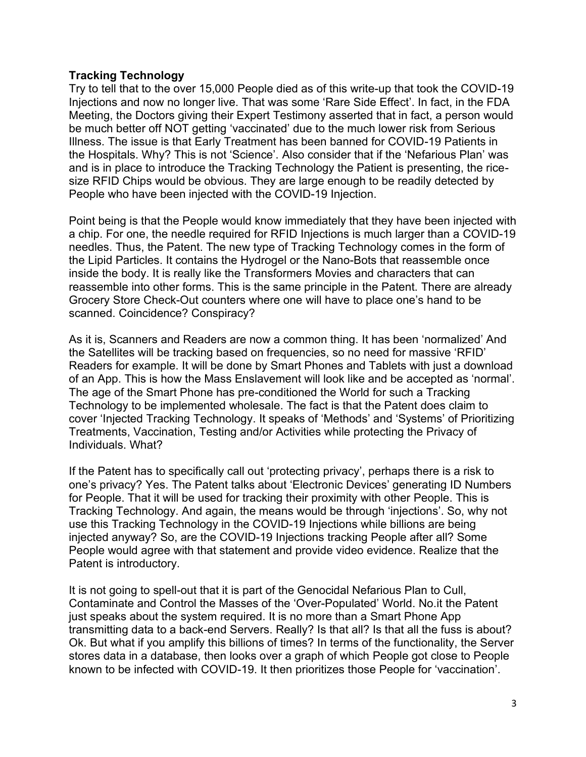# **Tracking Technology**

Try to tell that to the over 15,000 People died as of this write-up that took the COVID-19 Injections and now no longer live. That was some 'Rare Side Effect'. In fact, in the FDA Meeting, the Doctors giving their Expert Testimony asserted that in fact, a person would be much better off NOT getting 'vaccinated' due to the much lower risk from Serious Illness. The issue is that Early Treatment has been banned for COVID-19 Patients in the Hospitals. Why? This is not 'Science'. Also consider that if the 'Nefarious Plan' was and is in place to introduce the Tracking Technology the Patient is presenting, the ricesize RFID Chips would be obvious. They are large enough to be readily detected by People who have been injected with the COVID-19 Injection.

Point being is that the People would know immediately that they have been injected with a chip. For one, the needle required for RFID Injections is much larger than a COVID-19 needles. Thus, the Patent. The new type of Tracking Technology comes in the form of the Lipid Particles. It contains the Hydrogel or the Nano-Bots that reassemble once inside the body. It is really like the Transformers Movies and characters that can reassemble into other forms. This is the same principle in the Patent. There are already Grocery Store Check-Out counters where one will have to place one's hand to be scanned. Coincidence? Conspiracy?

As it is, Scanners and Readers are now a common thing. It has been 'normalized' And the Satellites will be tracking based on frequencies, so no need for massive 'RFID' Readers for example. It will be done by Smart Phones and Tablets with just a download of an App. This is how the Mass Enslavement will look like and be accepted as 'normal'. The age of the Smart Phone has pre-conditioned the World for such a Tracking Technology to be implemented wholesale. The fact is that the Patent does claim to cover 'Injected Tracking Technology. It speaks of 'Methods' and 'Systems' of Prioritizing Treatments, Vaccination, Testing and/or Activities while protecting the Privacy of Individuals. What?

If the Patent has to specifically call out 'protecting privacy', perhaps there is a risk to one's privacy? Yes. The Patent talks about 'Electronic Devices' generating ID Numbers for People. That it will be used for tracking their proximity with other People. This is Tracking Technology. And again, the means would be through 'injections'. So, why not use this Tracking Technology in the COVID-19 Injections while billions are being injected anyway? So, are the COVID-19 Injections tracking People after all? Some People would agree with that statement and provide video evidence. Realize that the Patent is introductory.

It is not going to spell-out that it is part of the Genocidal Nefarious Plan to Cull, Contaminate and Control the Masses of the 'Over-Populated' World. No.it the Patent just speaks about the system required. It is no more than a Smart Phone App transmitting data to a back-end Servers. Really? Is that all? Is that all the fuss is about? Ok. But what if you amplify this billions of times? In terms of the functionality, the Server stores data in a database, then looks over a graph of which People got close to People known to be infected with COVID-19. It then prioritizes those People for 'vaccination'.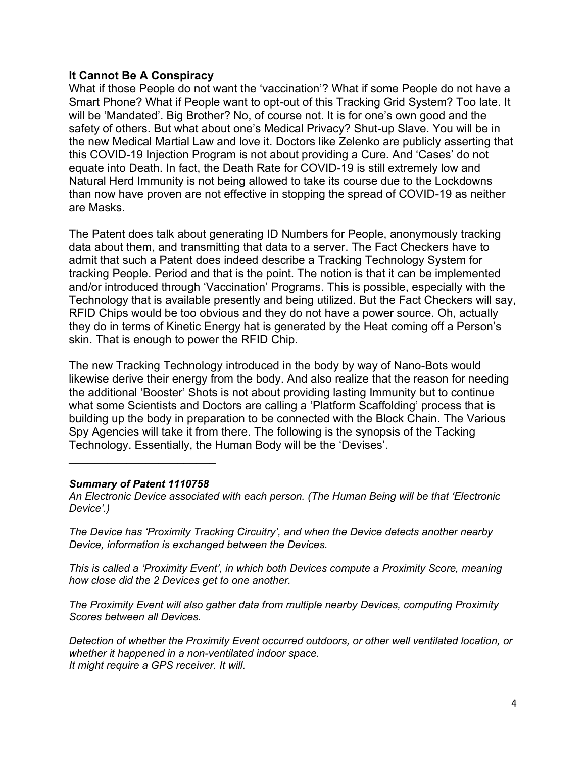## **It Cannot Be A Conspiracy**

What if those People do not want the 'vaccination'? What if some People do not have a Smart Phone? What if People want to opt-out of this Tracking Grid System? Too late. It will be 'Mandated'. Big Brother? No, of course not. It is for one's own good and the safety of others. But what about one's Medical Privacy? Shut-up Slave. You will be in the new Medical Martial Law and love it. Doctors like Zelenko are publicly asserting that this COVID-19 Injection Program is not about providing a Cure. And 'Cases' do not equate into Death. In fact, the Death Rate for COVID-19 is still extremely low and Natural Herd Immunity is not being allowed to take its course due to the Lockdowns than now have proven are not effective in stopping the spread of COVID-19 as neither are Masks.

The Patent does talk about generating ID Numbers for People, anonymously tracking data about them, and transmitting that data to a server. The Fact Checkers have to admit that such a Patent does indeed describe a Tracking Technology System for tracking People. Period and that is the point. The notion is that it can be implemented and/or introduced through 'Vaccination' Programs. This is possible, especially with the Technology that is available presently and being utilized. But the Fact Checkers will say, RFID Chips would be too obvious and they do not have a power source. Oh, actually they do in terms of Kinetic Energy hat is generated by the Heat coming off a Person's skin. That is enough to power the RFID Chip.

The new Tracking Technology introduced in the body by way of Nano-Bots would likewise derive their energy from the body. And also realize that the reason for needing the additional 'Booster' Shots is not about providing lasting Immunity but to continue what some Scientists and Doctors are calling a 'Platform Scaffolding' process that is building up the body in preparation to be connected with the Block Chain. The Various Spy Agencies will take it from there. The following is the synopsis of the Tacking Technology. Essentially, the Human Body will be the 'Devises'.

#### *Summary of Patent 1110758*

 $\overline{\phantom{a}}$  , and the set of the set of the set of the set of the set of the set of the set of the set of the set of the set of the set of the set of the set of the set of the set of the set of the set of the set of the s

*An Electronic Device associated with each person. (The Human Being will be that 'Electronic Device'.)*

*The Device has 'Proximity Tracking Circuitry', and when the Device detects another nearby Device, information is exchanged between the Devices.*

*This is called a 'Proximity Event', in which both Devices compute a Proximity Score, meaning how close did the 2 Devices get to one another.*

*The Proximity Event will also gather data from multiple nearby Devices, computing Proximity Scores between all Devices.*

*Detection of whether the Proximity Event occurred outdoors, or other well ventilated location, or whether it happened in a non-ventilated indoor space. It might require a GPS receiver. It will.*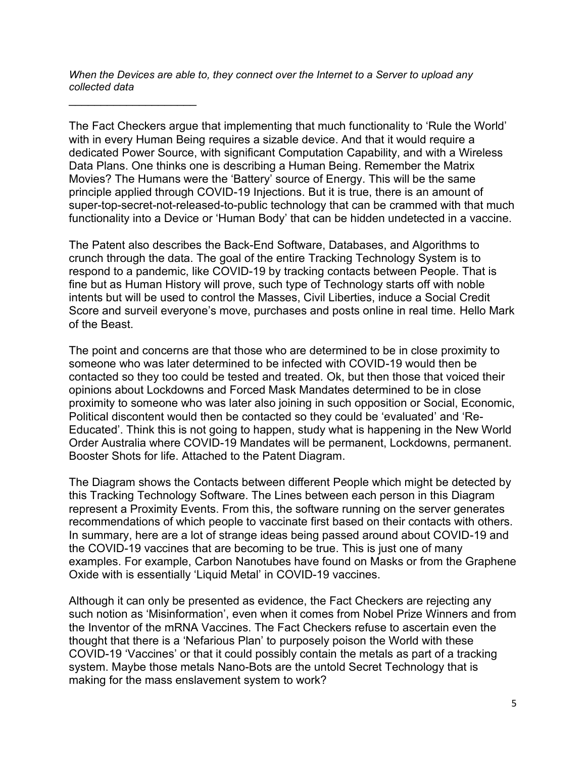*When the Devices are able to, they connect over the Internet to a Server to upload any collected data*

 $\mathcal{L}_\text{max}$  , where  $\mathcal{L}_\text{max}$  , we have the set of  $\mathcal{L}_\text{max}$ 

The Fact Checkers argue that implementing that much functionality to 'Rule the World' with in every Human Being requires a sizable device. And that it would require a dedicated Power Source, with significant Computation Capability, and with a Wireless Data Plans. One thinks one is describing a Human Being. Remember the Matrix Movies? The Humans were the 'Battery' source of Energy. This will be the same principle applied through COVID-19 Injections. But it is true, there is an amount of super-top-secret-not-released-to-public technology that can be crammed with that much functionality into a Device or 'Human Body' that can be hidden undetected in a vaccine.

The Patent also describes the Back-End Software, Databases, and Algorithms to crunch through the data. The goal of the entire Tracking Technology System is to respond to a pandemic, like COVID-19 by tracking contacts between People. That is fine but as Human History will prove, such type of Technology starts off with noble intents but will be used to control the Masses, Civil Liberties, induce a Social Credit Score and surveil everyone's move, purchases and posts online in real time. Hello Mark of the Beast.

The point and concerns are that those who are determined to be in close proximity to someone who was later determined to be infected with COVID-19 would then be contacted so they too could be tested and treated. Ok, but then those that voiced their opinions about Lockdowns and Forced Mask Mandates determined to be in close proximity to someone who was later also joining in such opposition or Social, Economic, Political discontent would then be contacted so they could be 'evaluated' and 'Re-Educated'. Think this is not going to happen, study what is happening in the New World Order Australia where COVID-19 Mandates will be permanent, Lockdowns, permanent. Booster Shots for life. Attached to the Patent Diagram.

The Diagram shows the Contacts between different People which might be detected by this Tracking Technology Software. The Lines between each person in this Diagram represent a Proximity Events. From this, the software running on the server generates recommendations of which people to vaccinate first based on their contacts with others. In summary, here are a lot of strange ideas being passed around about COVID-19 and the COVID-19 vaccines that are becoming to be true. This is just one of many examples. For example, Carbon Nanotubes have found on Masks or from the Graphene Oxide with is essentially 'Liquid Metal' in COVID-19 vaccines.

Although it can only be presented as evidence, the Fact Checkers are rejecting any such notion as 'Misinformation', even when it comes from Nobel Prize Winners and from the Inventor of the mRNA Vaccines. The Fact Checkers refuse to ascertain even the thought that there is a 'Nefarious Plan' to purposely poison the World with these COVID-19 'Vaccines' or that it could possibly contain the metals as part of a tracking system. Maybe those metals Nano-Bots are the untold Secret Technology that is making for the mass enslavement system to work?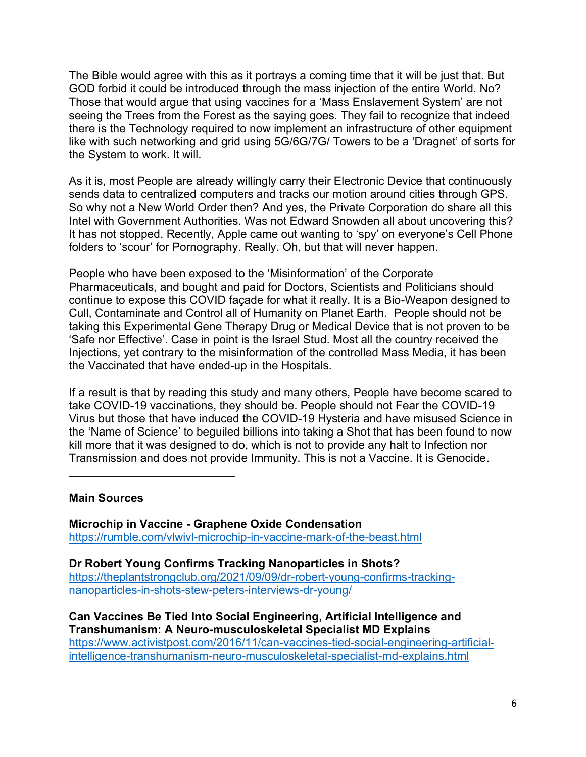The Bible would agree with this as it portrays a coming time that it will be just that. But GOD forbid it could be introduced through the mass injection of the entire World. No? Those that would argue that using vaccines for a 'Mass Enslavement System' are not seeing the Trees from the Forest as the saying goes. They fail to recognize that indeed there is the Technology required to now implement an infrastructure of other equipment like with such networking and grid using 5G/6G/7G/ Towers to be a 'Dragnet' of sorts for the System to work. It will.

As it is, most People are already willingly carry their Electronic Device that continuously sends data to centralized computers and tracks our motion around cities through GPS. So why not a New World Order then? And yes, the Private Corporation do share all this Intel with Government Authorities. Was not Edward Snowden all about uncovering this? It has not stopped. Recently, Apple came out wanting to 'spy' on everyone's Cell Phone folders to 'scour' for Pornography. Really. Oh, but that will never happen.

People who have been exposed to the 'Misinformation' of the Corporate Pharmaceuticals, and bought and paid for Doctors, Scientists and Politicians should continue to expose this COVID façade for what it really. It is a Bio-Weapon designed to Cull, Contaminate and Control all of Humanity on Planet Earth. People should not be taking this Experimental Gene Therapy Drug or Medical Device that is not proven to be 'Safe nor Effective'. Case in point is the Israel Stud. Most all the country received the Injections, yet contrary to the misinformation of the controlled Mass Media, it has been the Vaccinated that have ended-up in the Hospitals.

If a result is that by reading this study and many others, People have become scared to take COVID-19 vaccinations, they should be. People should not Fear the COVID-19 Virus but those that have induced the COVID-19 Hysteria and have misused Science in the 'Name of Science' to beguiled billions into taking a Shot that has been found to now kill more that it was designed to do, which is not to provide any halt to Infection nor Transmission and does not provide Immunity. This is not a Vaccine. It is Genocide.

# **Main Sources**

\_\_\_\_\_\_\_\_\_\_\_\_\_\_\_\_\_\_\_\_\_\_\_\_\_\_

**Microchip in Vaccine - Graphene Oxide Condensation** <https://rumble.com/vlwivl-microchip-in-vaccine-mark-of-the-beast.html>

**Dr Robert Young Confirms Tracking Nanoparticles in Shots?** [https://theplantstrongclub.org/2021/09/09/dr-robert-young-confirms-tracking](https://theplantstrongclub.org/2021/09/09/dr-robert-young-confirms-tracking-nanoparticles-in-shots-stew-peters-interviews-dr-young/)[nanoparticles-in-shots-stew-peters-interviews-dr-young/](https://theplantstrongclub.org/2021/09/09/dr-robert-young-confirms-tracking-nanoparticles-in-shots-stew-peters-interviews-dr-young/)

**Can Vaccines Be Tied Into Social Engineering, Artificial Intelligence and Transhumanism: A Neuro-musculoskeletal Specialist MD Explains**  [https://www.activistpost.com/2016/11/can-vaccines-tied-social-engineering-artificial](https://www.activistpost.com/2016/11/can-vaccines-tied-social-engineering-artificial-intelligence-transhumanism-neuro-musculoskeletal-specialist-md-explains.html)[intelligence-transhumanism-neuro-musculoskeletal-specialist-md-explains.html](https://www.activistpost.com/2016/11/can-vaccines-tied-social-engineering-artificial-intelligence-transhumanism-neuro-musculoskeletal-specialist-md-explains.html)